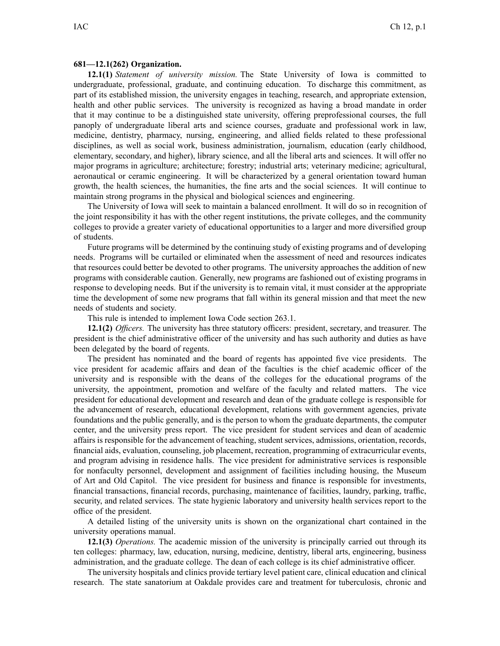## **681—12.1(262) Organization.**

**12.1(1)** *Statement of university mission.* The State University of Iowa is committed to undergraduate, professional, graduate, and continuing education. To discharge this commitment, as par<sup>t</sup> of its established mission, the university engages in teaching, research, and appropriate extension, health and other public services. The university is recognized as having <sup>a</sup> broad mandate in order that it may continue to be <sup>a</sup> distinguished state university, offering preprofessional courses, the full panoply of undergraduate liberal arts and science courses, graduate and professional work in law, medicine, dentistry, pharmacy, nursing, engineering, and allied fields related to these professional disciplines, as well as social work, business administration, journalism, education (early childhood, elementary, secondary, and higher), library science, and all the liberal arts and sciences. It will offer no major programs in agriculture; architecture; forestry; industrial arts; veterinary medicine; agricultural, aeronautical or ceramic engineering. It will be characterized by <sup>a</sup> general orientation toward human growth, the health sciences, the humanities, the fine arts and the social sciences. It will continue to maintain strong programs in the physical and biological sciences and engineering.

The University of Iowa will seek to maintain <sup>a</sup> balanced enrollment. It will do so in recognition of the joint responsibility it has with the other regen<sup>t</sup> institutions, the private colleges, and the community colleges to provide <sup>a</sup> greater variety of educational opportunities to <sup>a</sup> larger and more diversified group of students.

Future programs will be determined by the continuing study of existing programs and of developing needs. Programs will be curtailed or eliminated when the assessment of need and resources indicates that resources could better be devoted to other programs. The university approaches the addition of new programs with considerable caution. Generally, new programs are fashioned out of existing programs in response to developing needs. But if the university is to remain vital, it must consider at the appropriate time the development of some new programs that fall within its general mission and that meet the new needs of students and society.

This rule is intended to implement Iowa Code section 263.1.

**12.1(2)** *Officers.* The university has three statutory officers: president, secretary, and treasurer. The president is the chief administrative officer of the university and has such authority and duties as have been delegated by the board of regents.

The president has nominated and the board of regents has appointed five vice presidents. The vice president for academic affairs and dean of the faculties is the chief academic officer of the university and is responsible with the deans of the colleges for the educational programs of the university, the appointment, promotion and welfare of the faculty and related matters. The vice president for educational development and research and dean of the graduate college is responsible for the advancement of research, educational development, relations with governmen<sup>t</sup> agencies, private foundations and the public generally, and is the person to whom the graduate departments, the computer center, and the university press report. The vice president for student services and dean of academic affairs is responsible for the advancement of teaching, student services, admissions, orientation, records, financial aids, evaluation, counseling, job placement, recreation, programming of extracurricular events, and program advising in residence halls. The vice president for administrative services is responsible for nonfaculty personnel, development and assignment of facilities including housing, the Museum of Art and Old Capitol. The vice president for business and finance is responsible for investments, financial transactions, financial records, purchasing, maintenance of facilities, laundry, parking, traffic, security, and related services. The state hygienic laboratory and university health services repor<sup>t</sup> to the office of the president.

A detailed listing of the university units is shown on the organizational chart contained in the university operations manual.

**12.1(3)** *Operations.* The academic mission of the university is principally carried out through its ten colleges: pharmacy, law, education, nursing, medicine, dentistry, liberal arts, engineering, business administration, and the graduate college. The dean of each college is its chief administrative officer.

The university hospitals and clinics provide tertiary level patient care, clinical education and clinical research. The state sanatorium at Oakdale provides care and treatment for tuberculosis, chronic and